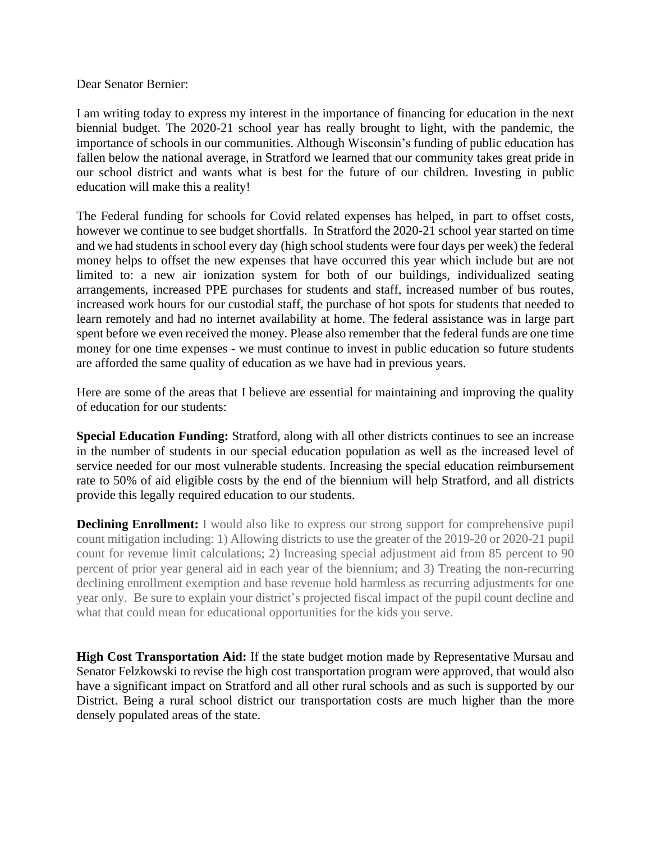Dear Senator Bernier:

I am writing today to express my interest in the importance of financing for education in the next biennial budget. The 2020-21 school year has really brought to light, with the pandemic, the importance of schools in our communities. Although Wisconsin's funding of public education has fallen below the national average, in Stratford we learned that our community takes great pride in our school district and wants what is best for the future of our children. Investing in public education will make this a reality!

The Federal funding for schools for Covid related expenses has helped, in part to offset costs, however we continue to see budget shortfalls. In Stratford the 2020-21 school year started on time and we had students in school every day (high school students were four days per week) the federal money helps to offset the new expenses that have occurred this year which include but are not limited to: a new air ionization system for both of our buildings, individualized seating arrangements, increased PPE purchases for students and staff, increased number of bus routes, increased work hours for our custodial staff, the purchase of hot spots for students that needed to learn remotely and had no internet availability at home. The federal assistance was in large part spent before we even received the money. Please also remember that the federal funds are one time money for one time expenses - we must continue to invest in public education so future students are afforded the same quality of education as we have had in previous years.

Here are some of the areas that I believe are essential for maintaining and improving the quality of education for our students:

**Special Education Funding:** Stratford, along with all other districts continues to see an increase in the number of students in our special education population as well as the increased level of service needed for our most vulnerable students. Increasing the special education reimbursement rate to 50% of aid eligible costs by the end of the biennium will help Stratford, and all districts provide this legally required education to our students.

**Declining Enrollment:** I would also like to express our strong support for comprehensive pupil count mitigation including: 1) Allowing districts to use the greater of the 2019-20 or 2020-21 pupil count for revenue limit calculations; 2) Increasing special adjustment aid from 85 percent to 90 percent of prior year general aid in each year of the biennium; and 3) Treating the non-recurring declining enrollment exemption and base revenue hold harmless as recurring adjustments for one year only. Be sure to explain your district's projected fiscal impact of the pupil count decline and what that could mean for educational opportunities for the kids you serve.

**High Cost Transportation Aid:** If the state budget motion made by Representative Mursau and Senator Felzkowski to revise the high cost transportation program were approved, that would also have a significant impact on Stratford and all other rural schools and as such is supported by our District. Being a rural school district our transportation costs are much higher than the more densely populated areas of the state.